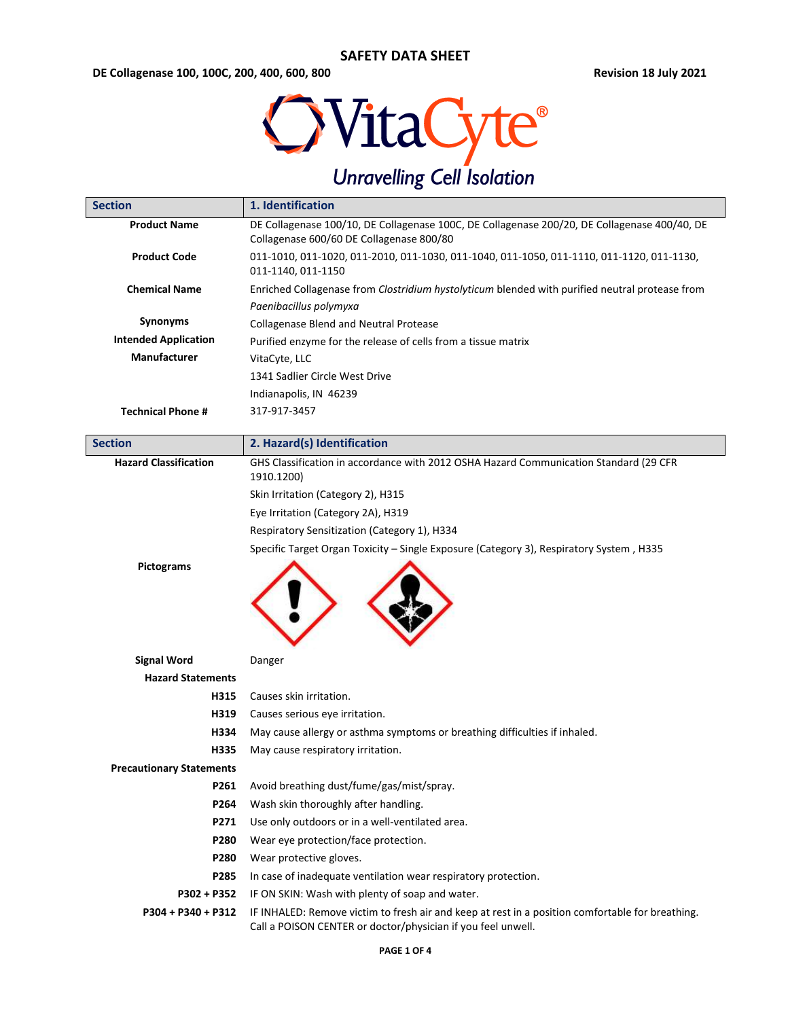**DE Collagenase 100, 100C, 200, 400, 600, 800 Revision 18 July 2021**



| <b>Section</b>                  | 1. Identification                                                                                                                                                |  |  |
|---------------------------------|------------------------------------------------------------------------------------------------------------------------------------------------------------------|--|--|
| <b>Product Name</b>             | DE Collagenase 100/10, DE Collagenase 100C, DE Collagenase 200/20, DE Collagenase 400/40, DE<br>Collagenase 600/60 DE Collagenase 800/80                         |  |  |
| <b>Product Code</b>             | 011-1010, 011-1020, 011-2010, 011-1030, 011-1040, 011-1050, 011-1110, 011-1120, 011-1130,<br>011-1140, 011-1150                                                  |  |  |
| <b>Chemical Name</b>            | Enriched Collagenase from Clostridium hystolyticum blended with purified neutral protease from                                                                   |  |  |
|                                 | Paenibacillus polymyxa                                                                                                                                           |  |  |
| Synonyms                        | Collagenase Blend and Neutral Protease                                                                                                                           |  |  |
| <b>Intended Application</b>     | Purified enzyme for the release of cells from a tissue matrix                                                                                                    |  |  |
| <b>Manufacturer</b>             | VitaCyte, LLC                                                                                                                                                    |  |  |
|                                 | 1341 Sadlier Circle West Drive                                                                                                                                   |  |  |
|                                 | Indianapolis, IN 46239                                                                                                                                           |  |  |
| <b>Technical Phone #</b>        | 317-917-3457                                                                                                                                                     |  |  |
|                                 |                                                                                                                                                                  |  |  |
| <b>Section</b>                  | 2. Hazard(s) Identification                                                                                                                                      |  |  |
| <b>Hazard Classification</b>    | GHS Classification in accordance with 2012 OSHA Hazard Communication Standard (29 CFR<br>1910.1200)                                                              |  |  |
|                                 | Skin Irritation (Category 2), H315                                                                                                                               |  |  |
|                                 | Eye Irritation (Category 2A), H319                                                                                                                               |  |  |
|                                 | Respiratory Sensitization (Category 1), H334                                                                                                                     |  |  |
|                                 | Specific Target Organ Toxicity - Single Exposure (Category 3), Respiratory System, H335                                                                          |  |  |
| <b>Pictograms</b>               |                                                                                                                                                                  |  |  |
| <b>Signal Word</b>              | Danger                                                                                                                                                           |  |  |
| <b>Hazard Statements</b>        |                                                                                                                                                                  |  |  |
| H315                            | Causes skin irritation.                                                                                                                                          |  |  |
| H319                            | Causes serious eye irritation.                                                                                                                                   |  |  |
| H334                            | May cause allergy or asthma symptoms or breathing difficulties if inhaled.                                                                                       |  |  |
| H335                            | May cause respiratory irritation.                                                                                                                                |  |  |
| <b>Precautionary Statements</b> |                                                                                                                                                                  |  |  |
| P261                            | Avoid breathing dust/fume/gas/mist/spray.                                                                                                                        |  |  |
| P264                            | Wash skin thoroughly after handling.                                                                                                                             |  |  |
| P271                            | Use only outdoors or in a well-ventilated area.                                                                                                                  |  |  |
| P280                            | Wear eye protection/face protection.                                                                                                                             |  |  |
| P280                            | Wear protective gloves.                                                                                                                                          |  |  |
| P285                            | In case of inadequate ventilation wear respiratory protection.                                                                                                   |  |  |
| P302 + P352                     | IF ON SKIN: Wash with plenty of soap and water.                                                                                                                  |  |  |
| P304 + P340 + P312              | IF INHALED: Remove victim to fresh air and keep at rest in a position comfortable for breathing.<br>Call a POISON CENTER or doctor/physician if you feel unwell. |  |  |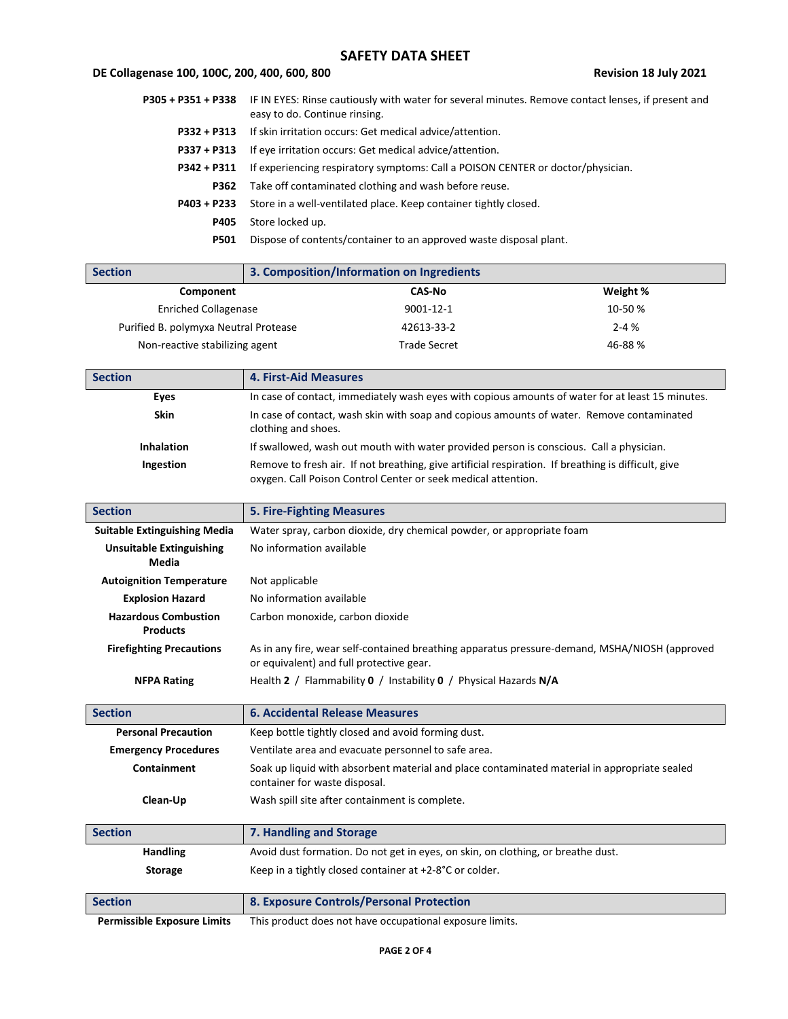## **DE Collagenase 100, 100C, 200, 400, 600, 800 Revision 18 July 2021**

|             | P305 + P351 + P338 IF IN EYES: Rinse cautiously with water for several minutes. Remove contact lenses, if present and<br>easy to do. Continue rinsing. |
|-------------|--------------------------------------------------------------------------------------------------------------------------------------------------------|
|             | <b>P332 + P313</b> If skin irritation occurs: Get medical advice/attention.                                                                            |
|             | <b>P337 + P313</b> If eye irritation occurs: Get medical advice/attention.                                                                             |
| P342 + P311 | If experiencing respiratory symptoms: Call a POISON CENTER or doctor/physician.                                                                        |
| P362        | Take off contaminated clothing and wash before reuse.                                                                                                  |
| P403 + P233 | Store in a well-ventilated place. Keep container tightly closed.                                                                                       |
| <b>P405</b> | Store locked up.                                                                                                                                       |
| <b>P501</b> | Dispose of contents/container to an approved waste disposal plant.                                                                                     |

| <b>Section</b>                        | 3. Composition/Information on Ingredients |               |          |
|---------------------------------------|-------------------------------------------|---------------|----------|
| Component                             |                                           | <b>CAS-No</b> | Weight % |
| <b>Enriched Collagenase</b>           |                                           | 9001-12-1     | 10-50%   |
| Purified B. polymyxa Neutral Protease |                                           | 42613-33-2    | $2 - 4%$ |
| Non-reactive stabilizing agent        |                                           | Trade Secret  | 46-88%   |

| <b>Section</b>    | <b>4. First-Aid Measures</b>                                                                                                                                         |
|-------------------|----------------------------------------------------------------------------------------------------------------------------------------------------------------------|
| Eves              | In case of contact, immediately wash eyes with copious amounts of water for at least 15 minutes.                                                                     |
| <b>Skin</b>       | In case of contact, wash skin with soap and copious amounts of water. Remove contaminated<br>clothing and shoes.                                                     |
| <b>Inhalation</b> | If swallowed, wash out mouth with water provided person is conscious. Call a physician.                                                                              |
| Ingestion         | Remove to fresh air. If not breathing, give artificial respiration. If breathing is difficult, give<br>oxygen. Call Poison Control Center or seek medical attention. |

| <b>Section</b>                                 | <b>5. Fire-Fighting Measures</b>                                                                                                          |  |
|------------------------------------------------|-------------------------------------------------------------------------------------------------------------------------------------------|--|
| <b>Suitable Extinguishing Media</b>            | Water spray, carbon dioxide, dry chemical powder, or appropriate foam                                                                     |  |
| <b>Unsuitable Extinguishing</b>                | No information available                                                                                                                  |  |
| Media                                          |                                                                                                                                           |  |
| <b>Autoignition Temperature</b>                | Not applicable                                                                                                                            |  |
| <b>Explosion Hazard</b>                        | No information available                                                                                                                  |  |
| <b>Hazardous Combustion</b><br><b>Products</b> | Carbon monoxide, carbon dioxide                                                                                                           |  |
| <b>Firefighting Precautions</b>                | As in any fire, wear self-contained breathing apparatus pressure-demand, MSHA/NIOSH (approved<br>or equivalent) and full protective gear. |  |
| <b>NFPA Rating</b>                             | Health 2 / Flammability 0 / Instability 0 / Physical Hazards N/A                                                                          |  |
| <b>Section</b>                                 | <b>6. Accidental Release Measures</b>                                                                                                     |  |

| <b>Personal Precaution</b>  | Keep bottle tightly closed and avoid forming dust.                                                                            |
|-----------------------------|-------------------------------------------------------------------------------------------------------------------------------|
| <b>Emergency Procedures</b> | Ventilate area and evacuate personnel to safe area.                                                                           |
| Containment                 | Soak up liquid with absorbent material and place contaminated material in appropriate sealed<br>container for waste disposal. |
| Clean-Up                    | Wash spill site after containment is complete.                                                                                |

| <b>Section</b>  | 7. Handling and Storage                                                          |  |
|-----------------|----------------------------------------------------------------------------------|--|
| <b>Handling</b> | Avoid dust formation. Do not get in eyes, on skin, on clothing, or breathe dust. |  |
| <b>Storage</b>  | Keep in a tightly closed container at +2-8°C or colder.                          |  |
|                 |                                                                                  |  |
| <b>Section</b>  | 8. Exposure Controls/Personal Protection                                         |  |

**Permissible Exposure Limits** This product does not have occupational exposure limits.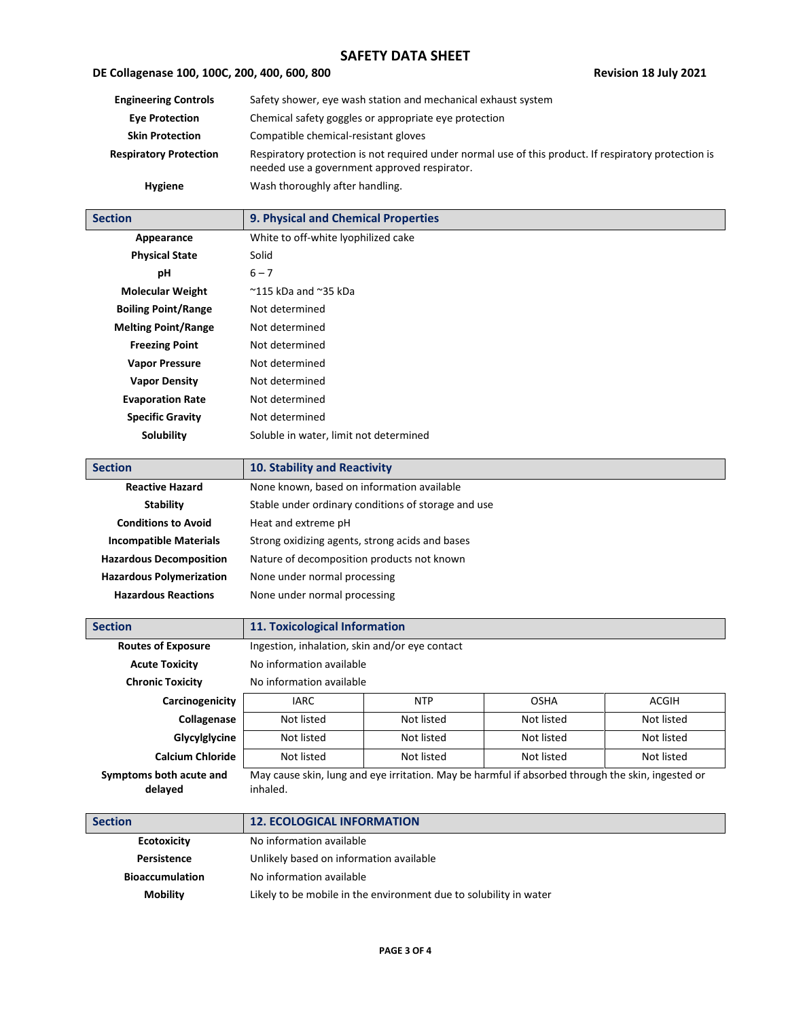# **DE Collagenase 100, 100C, 200, 400, 600, 800 Revision 18 July 2021**

| <b>Engineering Controls</b>   | Safety shower, eye wash station and mechanical exhaust system                                                                                         |
|-------------------------------|-------------------------------------------------------------------------------------------------------------------------------------------------------|
| <b>Eve Protection</b>         | Chemical safety goggles or appropriate eye protection                                                                                                 |
| <b>Skin Protection</b>        | Compatible chemical-resistant gloves                                                                                                                  |
| <b>Respiratory Protection</b> | Respiratory protection is not required under normal use of this product. If respiratory protection is<br>needed use a government approved respirator. |
| <b>Hygiene</b>                | Wash thoroughly after handling.                                                                                                                       |

| <b>Section</b>             | 9. Physical and Chemical Properties    |
|----------------------------|----------------------------------------|
| Appearance                 | White to off-white lyophilized cake    |
| <b>Physical State</b>      | Solid                                  |
| рH                         | $6 - 7$                                |
| <b>Molecular Weight</b>    | $^{\sim}$ 115 kDa and $^{\sim}$ 35 kDa |
| <b>Boiling Point/Range</b> | Not determined                         |
| <b>Melting Point/Range</b> | Not determined                         |
| <b>Freezing Point</b>      | Not determined                         |
| <b>Vapor Pressure</b>      | Not determined                         |
| <b>Vapor Density</b>       | Not determined                         |
| <b>Evaporation Rate</b>    | Not determined                         |
| <b>Specific Gravity</b>    | Not determined                         |
| Solubility                 | Soluble in water, limit not determined |

| <b>Section</b>                  | 10. Stability and Reactivity                        |
|---------------------------------|-----------------------------------------------------|
| <b>Reactive Hazard</b>          | None known, based on information available          |
| <b>Stability</b>                | Stable under ordinary conditions of storage and use |
| <b>Conditions to Avoid</b>      | Heat and extreme pH                                 |
| <b>Incompatible Materials</b>   | Strong oxidizing agents, strong acids and bases     |
| <b>Hazardous Decomposition</b>  | Nature of decomposition products not known          |
| <b>Hazardous Polymerization</b> | None under normal processing                        |
| <b>Hazardous Reactions</b>      | None under normal processing                        |

| <b>Section</b>                     | 11. Toxicological Information                  |            |                                                                                                   |              |
|------------------------------------|------------------------------------------------|------------|---------------------------------------------------------------------------------------------------|--------------|
| <b>Routes of Exposure</b>          | Ingestion, inhalation, skin and/or eye contact |            |                                                                                                   |              |
| <b>Acute Toxicity</b>              | No information available                       |            |                                                                                                   |              |
| <b>Chronic Toxicity</b>            | No information available                       |            |                                                                                                   |              |
| Carcinogenicity                    | <b>IARC</b>                                    | <b>NTP</b> | OSHA                                                                                              | <b>ACGIH</b> |
| Collagenase                        | Not listed                                     | Not listed | Not listed                                                                                        | Not listed   |
| Glycylglycine                      | Not listed                                     | Not listed | Not listed                                                                                        | Not listed   |
| <b>Calcium Chloride</b>            | Not listed                                     | Not listed | Not listed                                                                                        | Not listed   |
| Symptoms both acute and<br>delayed | inhaled.                                       |            | May cause skin, lung and eye irritation. May be harmful if absorbed through the skin, ingested or |              |

| <b>Section</b>         | <b>12. ECOLOGICAL INFORMATION</b>                                 |
|------------------------|-------------------------------------------------------------------|
| <b>Ecotoxicity</b>     | No information available                                          |
| Persistence            | Unlikely based on information available                           |
| <b>Bioaccumulation</b> | No information available                                          |
| <b>Mobility</b>        | Likely to be mobile in the environment due to solubility in water |